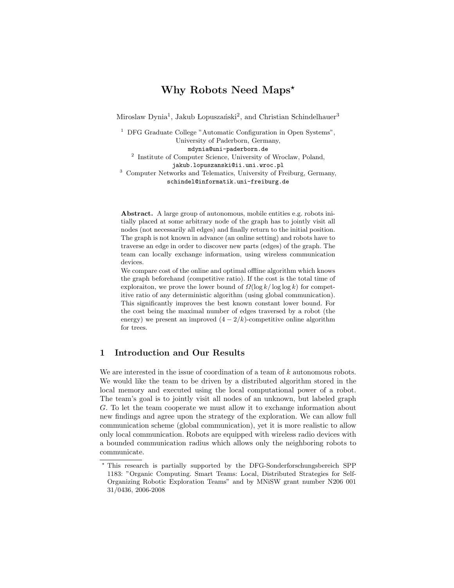# Why Robots Need Maps<sup>\*</sup>

Miroslaw Dynia<sup>1</sup>, Jakub Lopuszański<sup>2</sup>, and Christian Schindelhauer<sup>3</sup>

<sup>1</sup> DFG Graduate College "Automatic Configuration in Open Systems", University of Paderborn, Germany, mdynia@uni-paderborn.de <sup>2</sup> Institute of Computer Science, University of Wroclaw, Poland, jakub.lopuszanski@ii.uni.wroc.pl

<sup>3</sup> Computer Networks and Telematics, University of Freiburg, Germany, schindel@informatik.uni-freiburg.de

Abstract. A large group of autonomous, mobile entities e.g. robots initially placed at some arbitrary node of the graph has to jointly visit all nodes (not necessarily all edges) and finally return to the initial position. The graph is not known in advance (an online setting) and robots have to traverse an edge in order to discover new parts (edges) of the graph. The team can locally exchange information, using wireless communication devices.

We compare cost of the online and optimal offline algorithm which knows the graph beforehand (competitive ratio). If the cost is the total time of exploraiton, we prove the lower bound of  $\Omega(\log k/\log \log k)$  for competitive ratio of any deterministic algorithm (using global communication). This significantly improves the best known constant lower bound. For the cost being the maximal number of edges traversed by a robot (the energy) we present an improved  $(4 - 2/k)$ -competitive online algorithm for trees.

# 1 Introduction and Our Results

We are interested in the issue of coordination of a team of k autonomous robots. We would like the team to be driven by a distributed algorithm stored in the local memory and executed using the local computational power of a robot. The team's goal is to jointly visit all nodes of an unknown, but labeled graph G. To let the team cooperate we must allow it to exchange information about new findings and agree upon the strategy of the exploration. We can allow full communication scheme (global communication), yet it is more realistic to allow only local communication. Robots are equipped with wireless radio devices with a bounded communication radius which allows only the neighboring robots to communicate.

<sup>?</sup> This research is partially supported by the DFG-Sonderforschungsbereich SPP 1183: "Organic Computing. Smart Teams: Local, Distributed Strategies for Self-Organizing Robotic Exploration Teams" and by MNiSW grant number N206 001 31/0436, 2006-2008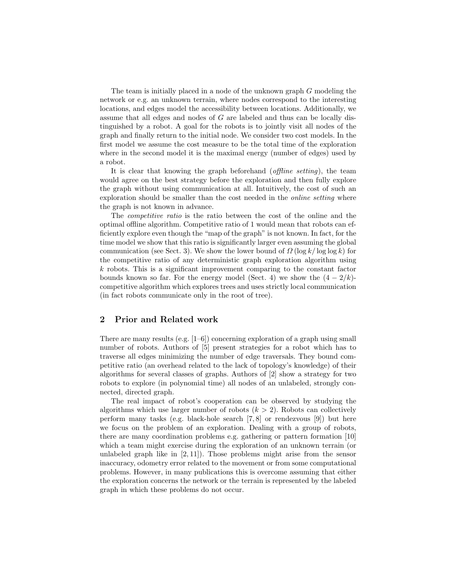The team is initially placed in a node of the unknown graph G modeling the network or e.g. an unknown terrain, where nodes correspond to the interesting locations, and edges model the accessibility between locations. Additionally, we assume that all edges and nodes of G are labeled and thus can be locally distinguished by a robot. A goal for the robots is to jointly visit all nodes of the graph and finally return to the initial node. We consider two cost models. In the first model we assume the cost measure to be the total time of the exploration where in the second model it is the maximal energy (number of edges) used by a robot.

It is clear that knowing the graph beforehand (offline setting), the team would agree on the best strategy before the exploration and then fully explore the graph without using communication at all. Intuitively, the cost of such an exploration should be smaller than the cost needed in the *online setting* where the graph is not known in advance.

The competitive ratio is the ratio between the cost of the online and the optimal offline algorithm. Competitive ratio of 1 would mean that robots can efficiently explore even though the "map of the graph" is not known. In fact, for the time model we show that this ratio is significantly larger even assuming the global communication (see Sect. 3). We show the lower bound of  $\Omega$  (log k) for the competitive ratio of any deterministic graph exploration algorithm using  $k$  robots. This is a significant improvement comparing to the constant factor bounds known so far. For the energy model (Sect. 4) we show the  $(4 - 2/k)$ competitive algorithm which explores trees and uses strictly local communication (in fact robots communicate only in the root of tree).

# 2 Prior and Related work

There are many results (e.g.  $[1-6]$ ) concerning exploration of a graph using small number of robots. Authors of [5] present strategies for a robot which has to traverse all edges minimizing the number of edge traversals. They bound competitive ratio (an overhead related to the lack of topology's knowledge) of their algorithms for several classes of graphs. Authors of [2] show a strategy for two robots to explore (in polynomial time) all nodes of an unlabeled, strongly connected, directed graph.

The real impact of robot's cooperation can be observed by studying the algorithms which use larger number of robots  $(k > 2)$ . Robots can collectively perform many tasks (e.g. black-hole search [7, 8] or rendezvous [9]) but here we focus on the problem of an exploration. Dealing with a group of robots, there are many coordination problems e.g. gathering or pattern formation [10] which a team might exercise during the exploration of an unknown terrain (or unlabeled graph like in  $[2, 11]$ ). Those problems might arise from the sensor inaccuracy, odometry error related to the movement or from some computational problems. However, in many publications this is overcome assuming that either the exploration concerns the network or the terrain is represented by the labeled graph in which these problems do not occur.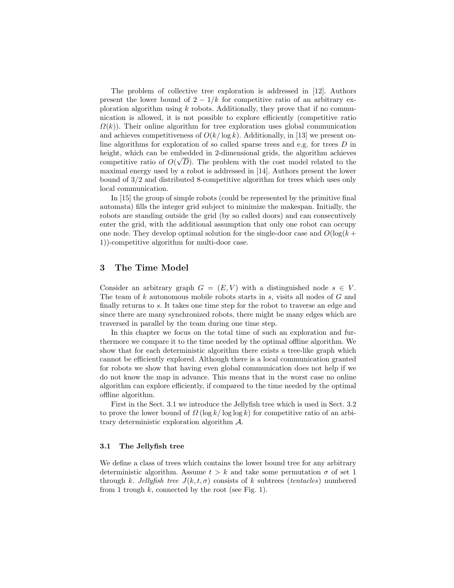The problem of collective tree exploration is addressed in [12]. Authors present the lower bound of  $2 - 1/k$  for competitive ratio of an arbitrary exploration algorithm using  $k$  robots. Additionally, they prove that if no communication is allowed, it is not possible to explore efficiently (competitive ratio  $\Omega(k)$ ). Their online algorithm for tree exploration uses global communication and achieves competitiveness of  $O(k/\log k)$ . Additionally, in [13] we present online algorithms for exploration of so called sparse trees and e.g. for trees D in height, which can be embedded in 2-dimensional grids, the algorithm achieves competitive ratio of  $O(\sqrt{D})$ . The problem with the cost model related to the maximal energy used by a robot is addressed in [14]. Authors present the lower bound of 3/2 and distributed 8-competitive algorithm for trees which uses only local communication.

In [15] the group of simple robots (could be represented by the primitive final automata) fills the integer grid subject to minimize the makespan. Initially, the robots are standing outside the grid (by so called doors) and can consecutively enter the grid, with the additional assumption that only one robot can occupy one node. They develop optimal solution for the single-door case and  $O(\log(k +$ 1))-competitive algorithm for multi-door case.

# 3 The Time Model

Consider an arbitrary graph  $G = (E, V)$  with a distinguished node  $s \in V$ . The team of  $k$  autonomous mobile robots starts in  $s$ , visits all nodes of  $G$  and finally returns to s. It takes one time step for the robot to traverse an edge and since there are many synchronized robots, there might be many edges which are traversed in parallel by the team during one time step.

In this chapter we focus on the total time of such an exploration and furthermore we compare it to the time needed by the optimal offline algorithm. We show that for each deterministic algorithm there exists a tree-like graph which cannot be efficiently explored. Although there is a local communication granted for robots we show that having even global communication does not help if we do not know the map in advance. This means that in the worst case no online algorithm can explore efficiently, if compared to the time needed by the optimal offline algorithm.

First in the Sect. 3.1 we introduce the Jellyfish tree which is used in Sect. 3.2 to prove the lower bound of  $\Omega(\log k / \log \log k)$  for competitive ratio of an arbitrary deterministic exploration algorithm A.

#### 3.1 The Jellyfish tree

We define a class of trees which contains the lower bound tree for any arbitrary deterministic algorithm. Assume  $t > k$  and take some permutation  $\sigma$  of set 1 through k. Jellyfish tree  $J(k, t, \sigma)$  consists of k subtrees (tentacles) numbered from 1 trough  $k$ , connected by the root (see Fig. 1).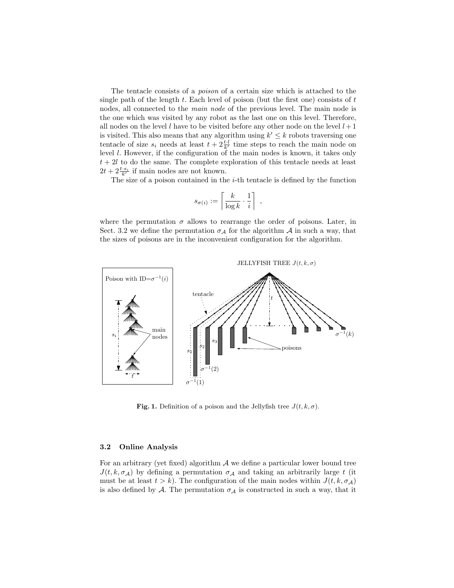The tentacle consists of a poison of a certain size which is attached to the single path of the length  $t$ . Each level of poison (but the first one) consists of  $t$ nodes, all connected to the main node of the previous level. The main node is the one which was visited by any robot as the last one on this level. Therefore, all nodes on the level l have to be visited before any other node on the level  $l+1$ is visited. This also means that any algorithm using  $k' \leq k$  robots traversing one tentacle of size  $s_i$  needs at least  $t + 2\frac{t \cdot l}{k'}$  time steps to reach the main node on level l. However, if the configuration of the main nodes is known, it takes only  $t + 2l$  to do the same. The complete exploration of this tentacle needs at least  $2t + 2\frac{t \cdot s_i}{k'}$  if main nodes are not known.

The size of a poison contained in the  $i$ -th tentacle is defined by the function

,

$$
s_{\sigma(i)} := \left\lceil \frac{k}{\log k} \cdot \frac{1}{i} \right\rceil
$$

where the permutation  $\sigma$  allows to rearrange the order of poisons. Later, in Sect. 3.2 we define the permutation  $\sigma_A$  for the algorithm A in such a way, that the sizes of poisons are in the inconvenient configuration for the algorithm.



Fig. 1. Definition of a poison and the Jellyfish tree  $J(t, k, \sigma)$ .

#### 3.2 Online Analysis

For an arbitrary (yet fixed) algorithm  $A$  we define a particular lower bound tree  $J(t, k, \sigma_A)$  by defining a permutation  $\sigma_A$  and taking an arbitrarily large t (it must be at least  $t > k$ ). The configuration of the main nodes within  $J(t, k, \sigma_A)$ is also defined by A. The permutation  $\sigma_A$  is constructed in such a way, that it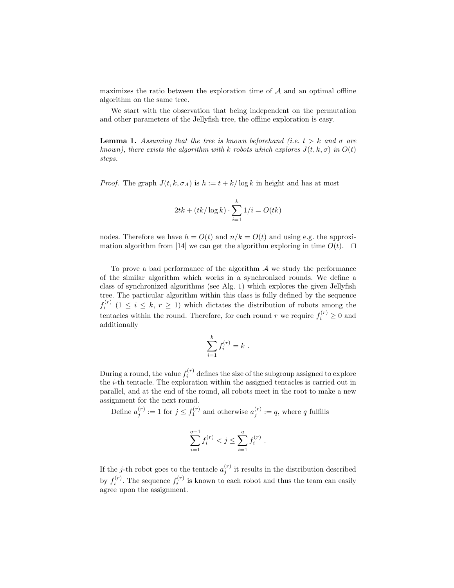maximizes the ratio between the exploration time of  $A$  and an optimal offline algorithm on the same tree.

We start with the observation that being independent on the permutation and other parameters of the Jellyfish tree, the offline exploration is easy.

**Lemma 1.** Assuming that the tree is known beforehand (i.e.  $t > k$  and  $\sigma$  are known), there exists the algorithm with k robots which explores  $J(t, k, \sigma)$  in  $O(t)$ steps.

*Proof.* The graph  $J(t, k, \sigma_A)$  is  $h := t + k/\log k$  in height and has at most

$$
2tk + (tk/\log k) \cdot \sum_{i=1}^{k} 1/i = O(tk)
$$

nodes. Therefore we have  $h = O(t)$  and  $n/k = O(t)$  and using e.g. the approximation algorithm from [14] we can get the algorithm exploring in time  $O(t)$ .  $\square$ 

To prove a bad performance of the algorithm  $A$  we study the performance of the similar algorithm which works in a synchronized rounds. We define a class of synchronized algorithms (see Alg. 1) which explores the given Jellyfish tree. The particular algorithm within this class is fully defined by the sequence  $f_i^{(r)}$  (1  $\leq i \leq k, r \geq 1$ ) which dictates the distribution of robots among the tentacles within the round. Therefore, for each round r we require  $f_i^{(r)} \geq 0$  and additionally

$$
\sum_{i=1}^{k} f_i^{(r)} = k \; .
$$

During a round, the value  $f_i^{(r)}$  defines the size of the subgroup assigned to explore the i-th tentacle. The exploration within the assigned tentacles is carried out in parallel, and at the end of the round, all robots meet in the root to make a new assignment for the next round.

Define  $a_j^{(r)} := 1$  for  $j \leq f_1^{(r)}$  and otherwise  $a_j^{(r)} := q$ , where q fulfills

$$
\sum_{i=1}^{q-1} f_i^{(r)} < j \le \sum_{i=1}^{q} f_i^{(r)}
$$

.

If the j-th robot goes to the tentacle  $a_j^{(r)}$  it results in the distribution described by  $f_i^{(r)}$ . The sequence  $f_i^{(r)}$  is known to each robot and thus the team can easily agree upon the assignment.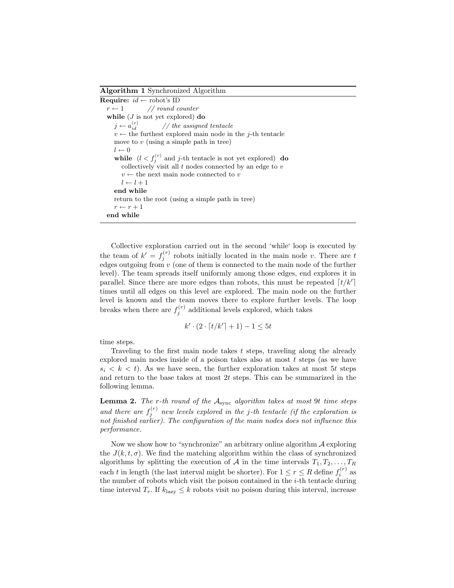Algorithm 1 Synchronized Algorithm

Require:  $id \leftarrow \text{robot's ID}$  $r \leftarrow 1$  // round counter while  $(J \text{ is not yet explored})$  do  $j \leftarrow a_{id}^{(r)}$  $\frac{1}{1}$  the assigned tentacle  $v \leftarrow$  the furthest explored main node in the j-th tentacle move to  $v$  (using a simple path in tree)  $l \leftarrow 0$ while  $(l < f_j^{(r)}$  and j-th tentacle is not yet explored) do collectively visit all  $t$  nodes connected by an edge to  $v$  $v \leftarrow$  the next main node connected to v  $l \leftarrow l + 1$ end while return to the root (using a simple path in tree)  $r \leftarrow r + 1$ end while

Collective exploration carried out in the second 'while' loop is executed by the team of  $k' = f_j^{(r)}$  robots initially located in the main node v. There are t edges outgoing from  $v$  (one of them is connected to the main node of the further level). The team spreads itself uniformly among those edges, end explores it in parallel. Since there are more edges than robots, this must be repeated  $\lceil t/k' \rceil$ times until all edges on this level are explored. The main node on the further level is known and the team moves there to explore further levels. The loop breaks when there are  $f_j^{(r)}$  additional levels explored, which takes

$$
k' \cdot (2 \cdot \lceil t/k' \rceil + 1) - 1 \le 5t
$$

time steps.

Traveling to the first main node takes t steps, traveling along the already explored main nodes inside of a poison takes also at most  $t$  steps (as we have  $s_i \leq k \leq t$ ). As we have seen, the further exploration takes at most 5t steps and return to the base takes at most 2t steps. This can be summarized in the following lemma.

**Lemma 2.** The r-th round of the  $A_{\text{sync}}$  algorithm takes at most 9t time steps and there are  $f_j^{(r)}$  new levels explored in the j-th tentacle (if the exploration is not finished earlier). The configuration of the main nodes does not influence this performance.

Now we show how to "synchronize" an arbitrary online algorithm A exploring the  $J(k, t, \sigma)$ . We find the matching algorithm within the class of synchronized algorithms by splitting the execution of A in the time intervals  $T_1, T_2, \ldots, T_R$ each t in length (the last interval might be shorter). For  $1 \le r \le R$  define  $f_i^{(r)}$  as the number of robots which visit the poison contained in the  $i$ -th tentacle during time interval  $T_r$ . If  $k_{\text{lazy}} \leq k$  robots visit no poison during this interval, increase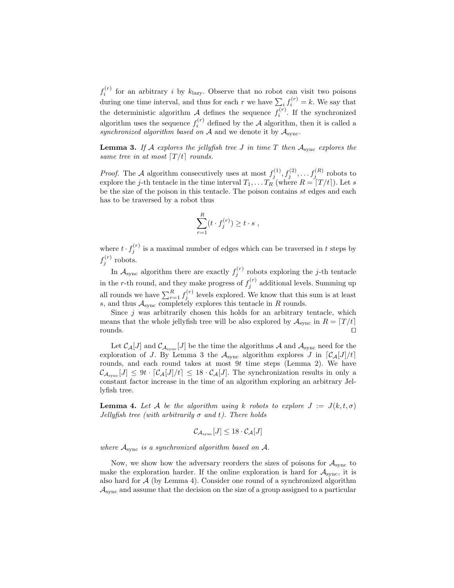$f_i^{(r)}$  for an arbitrary i by  $k_{\text{lazy}}$ . Observe that no robot can visit two poisons during one time interval, and thus for each r we have  $\sum_i f_i^{(r)} = k$ . We say that the deterministic algorithm A defines the sequence  $f_i^{(r)}$ . If the synchronized algorithm uses the sequence  $f_i^{(r)}$  defined by the A algorithm, then it is called a synchronized algorithm based on  $A$  and we denote it by  $A_{\text{sync}}$ .

**Lemma 3.** If A explores the jellyfish tree J in time T then  $A_{\text{sync}}$  explores the same tree in at most  $\lceil T/t \rceil$  rounds.

*Proof.* The A algorithm consecutively uses at most  $f_j^{(1)}, f_j^{(2)}, \ldots, f_j^{(R)}$  robots to explore the j-th tentacle in the time interval  $T_1, \ldots, T_R$  (where  $R = \lceil T / t \rceil$ ). Let s be the size of the poison in this tentacle. The poison contains st edges and each has to be traversed by a robot thus

$$
\sum_{r=1}^R (t \cdot f_j^{(r)}) \ge t \cdot s ,
$$

where  $t \cdot f_j^{(r)}$  is a maximal number of edges which can be traversed in t steps by  $f_j^{(r)}$  robots.

In  $A_{\text{sync}}$  algorithm there are exactly  $f_j^{(r)}$  robots exploring the *j*-th tentacle in the *r*-th round, and they make progress of  $f_j^{(r)}$  additional levels. Summing up all rounds we have  $\sum_{r=1}^{R} f_j^{(r)}$  levels explored. We know that this sum is at least s, and thus  $A_{\text{sync}}$  completely explores this tentacle in R rounds.

Since  $j$  was arbitrarily chosen this holds for an arbitrary tentacle, which means that the whole jellyfish tree will be also explored by  $\mathcal{A}_{\text{sync}}$  in  $R = \lfloor T/t \rfloor$ rounds.  $\Box$ 

Let  $\mathcal{C}_{\mathcal{A}}[J]$  and  $\mathcal{C}_{\mathcal{A}_{\text{sync}}}[J]$  be the time the algorithms  $\mathcal{A}$  and  $\mathcal{A}_{\text{sync}}$  need for the exploration of J. By Lemma 3 the  $\mathcal{A}_{\text{sync}}$  algorithm explores J in  $[\mathcal{C}_{\mathcal{A}}[J]/t]$ rounds, and each round takes at most  $9t$  time steps (Lemma 2). We have  $\mathcal{C}_{\mathcal{A}_{\text{sync}}}[J] \leq 9t \cdot [\mathcal{C}_{\mathcal{A}}[J]/t] \leq 18 \cdot \mathcal{C}_{\mathcal{A}}[J]$ . The synchronization results in only a constant factor increase in the time of an algorithm exploring an arbitrary Jellyfish tree.

**Lemma 4.** Let A be the algorithm using k robots to explore  $J := J(k, t, \sigma)$ Jellyfish tree (with arbitrarily  $\sigma$  and t). There holds

$$
\mathcal{C}_{\mathcal{A}_{\text{sync}}}[J] \leq 18 \cdot \mathcal{C}_{\mathcal{A}}[J]
$$

where  $A_{\text{sync}}$  is a synchronized algorithm based on  $A$ .

Now, we show how the adversary reorders the sizes of poisons for  $A_{\text{sync}}$  to make the exploration harder. If the online exploration is hard for  $A_{\text{sync}}$ , it is also hard for  $A$  (by Lemma 4). Consider one round of a synchronized algorithm  $\mathcal{A}_{\text{sync}}$  and assume that the decision on the size of a group assigned to a particular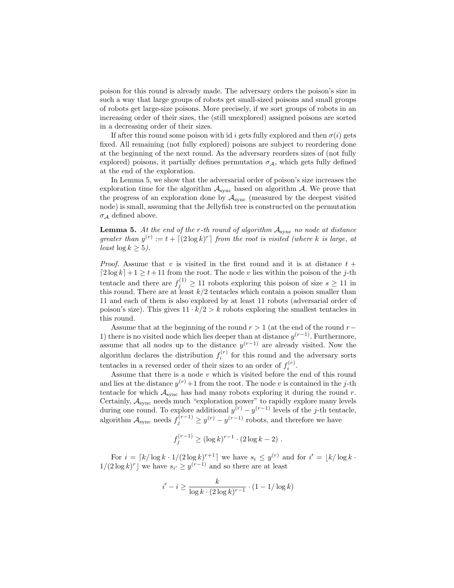poison for this round is already made. The adversary orders the poison's size in such a way that large groups of robots get small-sized poisons and small groups of robots get large-size poisons. More precisely, if we sort groups of robots in an increasing order of their sizes, the (still unexplored) assigned poisons are sorted in a decreasing order of their sizes.

If after this round some poison with id i gets fully explored and then  $\sigma(i)$  gets fixed. All remaining (not fully explored) poisons are subject to reordering done at the beginning of the next round. As the adversary reorders sizes of (not fully explored) poisons, it partially defines permutation  $\sigma_A$ , which gets fully defined at the end of the exploration.

In Lemma 5, we show that the adversarial order of poison's size increases the exploration time for the algorithm  $A_{\text{sync}}$  based on algorithm A. We prove that the progress of an exploration done by  $A_{\text{sync}}$  (measured by the deepest visited node) is small, assuming that the Jellyfish tree is constructed on the permutation  $\sigma_A$  defined above.

**Lemma 5.** At the end of the r-th round of algorithm  $A_{\text{sync}}$  no node at distance greater than  $y^{(r)} := t + \lfloor (2 \log k)^r \rfloor$  from the root is visited (where k is large, at least  $\log k \geq 5$ ).

*Proof.* Assume that v is visited in the first round and it is at distance  $t +$  $\lceil 2 \log k \rceil + 1 \geq t + 11$  from the root. The node v lies within the poison of the j-th tentacle and there are  $f_j^{(1)} \geq 11$  robots exploring this poison of size  $s \geq 11$  in this round. There are at least  $k/2$  tentacles which contain a poison smaller than 11 and each of them is also explored by at least 11 robots (adversarial order of poison's size). This gives  $11 \cdot k/2 > k$  robots exploring the smallest tentacles in this round.

Assume that at the beginning of the round  $r > 1$  (at the end of the round  $r-$ 1) there is no visited node which lies deeper than at distance  $y^{(r-1)}$ . Furthermore, assume that all nodes up to the distance  $y^{(r-1)}$  are already visited. Now the algorithm declares the distribution  $f_i^{(r)}$  for this round and the adversary sorts tentacles in a reversed order of their sizes to an order of  $f_i^{(r)}$ .

Assume that there is a node  $v$  which is visited before the end of this round and lies at the distance  $y^{(r)} + 1$  from the root. The node v is contained in the j-th tentacle for which  $A_{\text{sync}}$  has had many robots exploring it during the round r. Certainly,  $A_{\text{sync}}$  needs much "exploration power" to rapidly explore many levels during one round. To explore additional  $y^{(r)} - y^{(r-1)}$  levels of the j-th tentacle, algorithm  $\mathcal{A}_{\text{sync}}$  needs  $f_j^{(r-1)} \geq y^{(r)} - y^{(r-1)}$  robots, and therefore we have

$$
f_j^{(r-1)} \ge (\log k)^{r-1} \cdot (2 \log k - 2) .
$$

For  $i = \lceil k/\log k \cdot 1/(2 \log k)^{r+1} \rceil$  we have  $s_i \leq y^{(r)}$  and for  $i' = \lfloor k/\log k \cdot 1/(2 \log k)^{r+1} \rceil$  $1/(2 \log k)^r$  we have  $s_{i'} \ge y^{(r-1)}$  and so there are at least

$$
i'-i \ge \frac{k}{\log k \cdot (2\log k)^{r-1}} \cdot (1 - 1/\log k)
$$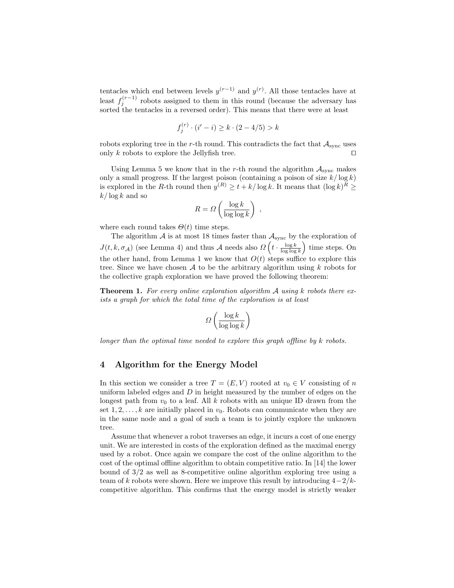tentacles which end between levels  $y^{(r-1)}$  and  $y^{(r)}$ . All those tentacles have at least  $f_j^{(r-1)}$  robots assigned to them in this round (because the adversary has sorted the tentacles in a reversed order). This means that there were at least

$$
f_j^{(r)} \cdot (i'-i) \ge k \cdot (2 - 4/5) > k
$$

robots exploring tree in the r-th round. This contradicts the fact that  $\mathcal{A}_{\text{sync}}$  uses only  $k$  robots to explore the Jellyfish tree.

Using Lemma 5 we know that in the r-th round the algorithm  $A_{\text{sync}}$  makes only a small progress. If the largest poison (containing a poison of size  $k/\log k)$ is explored in the R-th round then  $y^{(R)} \ge t + k/\log k$ . It means that  $(\log k)^R \ge$  $k/\log k$  and so

$$
R = \Omega\left(\frac{\log k}{\log \log k}\right) ,
$$

where each round takes  $\Theta(t)$  time steps.

The algorithm  $\mathcal A$  is at most 18 times faster than  $\mathcal A_{\text{sync}}$  by the exploration of  $J(t, k, \sigma_A)$  (see Lemma 4) and thus A needs also  $\Omega\left(t \cdot \frac{\log k}{\log \log k}\right)$  time steps. On the other hand, from Lemma 1 we know that  $O(t)$  steps suffice to explore this tree. Since we have chosen  $A$  to be the arbitrary algorithm using k robots for the collective graph exploration we have proved the following theorem:

**Theorem 1.** For every online exploration algorithm  $\mathcal A$  using k robots there exists a graph for which the total time of the exploration is at least

$$
\Omega\left(\frac{\log k}{\log \log k}\right)
$$

longer than the optimal time needed to explore this graph offline by k robots.

# 4 Algorithm for the Energy Model

In this section we consider a tree  $T = (E, V)$  rooted at  $v_0 \in V$  consisting of n uniform labeled edges and  $D$  in height measured by the number of edges on the longest path from  $v_0$  to a leaf. All k robots with an unique ID drawn from the set  $1, 2, \ldots, k$  are initially placed in  $v_0$ . Robots can communicate when they are in the same node and a goal of such a team is to jointly explore the unknown tree.

Assume that whenever a robot traverses an edge, it incurs a cost of one energy unit. We are interested in costs of the exploration defined as the maximal energy used by a robot. Once again we compare the cost of the online algorithm to the cost of the optimal offline algorithm to obtain competitive ratio. In [14] the lower bound of 3/2 as well as 8-competitive online algorithm exploring tree using a team of k robots were shown. Here we improve this result by introducing  $4-2/k$ competitive algorithm. This confirms that the energy model is strictly weaker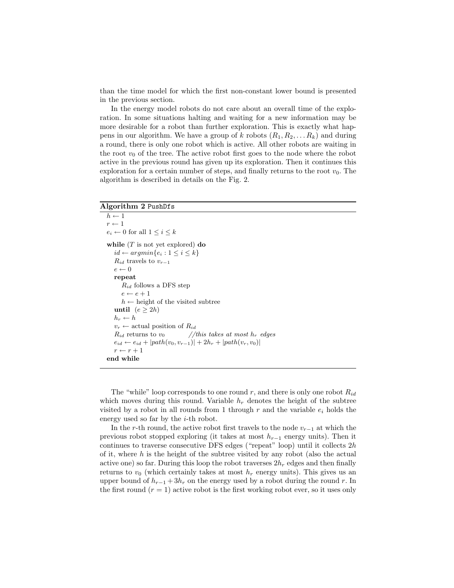than the time model for which the first non-constant lower bound is presented in the previous section.

In the energy model robots do not care about an overall time of the exploration. In some situations halting and waiting for a new information may be more desirable for a robot than further exploration. This is exactly what happens in our algorithm. We have a group of k robots  $(R_1, R_2, \ldots R_k)$  and during a round, there is only one robot which is active. All other robots are waiting in the root  $v_0$  of the tree. The active robot first goes to the node where the robot active in the previous round has given up its exploration. Then it continues this exploration for a certain number of steps, and finally returns to the root  $v_0$ . The algorithm is described in details on the Fig. 2.

#### Algorithm 2 PushDfs

```
h \leftarrow 1r \leftarrow 1e_i \leftarrow 0 for all 1 \leq i \leq kwhile (T is not yet explored) do
id \leftarrow argmin\{e_i : 1 \leq i \leq k\}R_{id} travels to v_{r-1}e \leftarrow 0repeat
   R_{id} follows a DFS step
   e \leftarrow e + 1h \leftarrow height of the visited subtree
until (e \geq 2h)h_r \leftarrow hv_r \leftarrow actual position of R_{id}R_{id} returns to v_0 //this takes at most h_r edges
e_{id} \leftarrow e_{id} + |path(v_0, v_{r-1})| + 2h_r + |path(v_r, v_0)|r \leftarrow r + 1end while
```
The "while" loop corresponds to one round r, and there is only one robot  $R_{id}$ which moves during this round. Variable  $h_r$  denotes the height of the subtree visited by a robot in all rounds from 1 through  $r$  and the variable  $e_i$  holds the energy used so far by the *i*-th robot.

In the r-th round, the active robot first travels to the node  $v_{r-1}$  at which the previous robot stopped exploring (it takes at most  $h_{r-1}$  energy units). Then it continues to traverse consecutive DFS edges ("repeat" loop) until it collects  $2h$ of it, where h is the height of the subtree visited by any robot (also the actual active one) so far. During this loop the robot traverses  $2h_r$  edges and then finally returns to  $v_0$  (which certainly takes at most  $h_r$  energy units). This gives us an upper bound of  $h_{r-1} + 3h_r$  on the energy used by a robot during the round r. In the first round  $(r = 1)$  active robot is the first working robot ever, so it uses only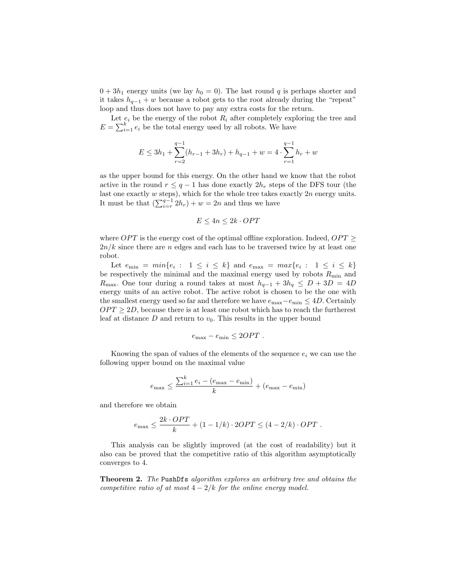$0 + 3h_1$  energy units (we lay  $h_0 = 0$ ). The last round q is perhaps shorter and it takes  $h_{q-1} + w$  because a robot gets to the root already during the "repeat" loop and thus does not have to pay any extra costs for the return.

Let  $e_i$  be the energy of the robot  $R_i$  after completely exploring the tree and  $E = \sum_{i=1}^{k} e_i$  be the total energy used by all robots. We have

$$
E \le 3h_1 + \sum_{r=2}^{q-1} (h_{r-1} + 3h_r) + h_{q-1} + w = 4 \cdot \sum_{r=1}^{q-1} h_r + w
$$

as the upper bound for this energy. On the other hand we know that the robot active in the round  $r \leq q-1$  has done exactly  $2h_r$  steps of the DFS tour (the last one exactly  $w$  steps), which for the whole tree takes exactly  $2n$  energy units. It must be that  $\left(\sum_{i=r}^{q-1} 2h_r\right) + w = 2n$  and thus we have

$$
E \le 4n \le 2k \cdot OPT
$$

where  $OPT$  is the energy cost of the optimal offline exploration. Indeed,  $OPT \geq$  $2n/k$  since there are n edges and each has to be traversed twice by at least one robot.

Let  $e_{\min} = min\{e_i : 1 \le i \le k\}$  and  $e_{\max} = max\{e_i : 1 \le i \le k\}$ be respectively the minimal and the maximal energy used by robots  $R_{\text{min}}$  and  $R_{\text{max}}$ . One tour during a round takes at most  $h_{q-1} + 3h_q \le D + 3D = 4D$ energy units of an active robot. The active robot is chosen to be the one with the smallest energy used so far and therefore we have  $e_{\text{max}}-e_{\text{min}} \leq 4D$ . Certainly  $OPT \geq 2D$ , because there is at least one robot which has to reach the furtherest leaf at distance  $D$  and return to  $v_0$ . This results in the upper bound

$$
e_{\max} - e_{\min} \leq 2 OPT \; .
$$

Knowing the span of values of the elements of the sequence  $e_i$  we can use the following upper bound on the maximal value

$$
e_{\max} \le \frac{\sum_{i=1}^{k} e_i - (e_{\max} - e_{\min})}{k} + (e_{\max} - e_{\min})
$$

and therefore we obtain

$$
e_{\max} \le \frac{2k \cdot OPT}{k} + (1 - 1/k) \cdot 2OPT \le (4 - 2/k) \cdot OPT \; .
$$

This analysis can be slightly improved (at the cost of readability) but it also can be proved that the competitive ratio of this algorithm asymptotically converges to 4.

**Theorem 2.** The PushDfs algorithm explores an arbitrary tree and obtains the competitive ratio of at most  $4 - 2/k$  for the online energy model.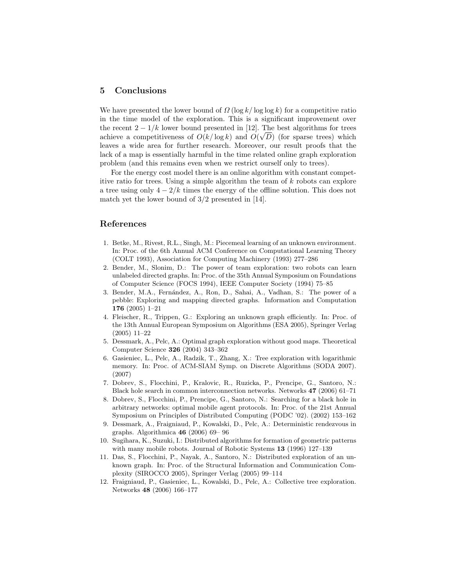# 5 Conclusions

We have presented the lower bound of  $\Omega(\log k/\log \log k)$  for a competitive ratio in the time model of the exploration. This is a significant improvement over the recent  $2 - 1/k$  lower bound presented in [12]. The best algorithms for trees achieve a competitiveness of  $O(k/\log k)$  and  $O(\sqrt{D})$  (for sparse trees) which leaves a wide area for further research. Moreover, our result proofs that the lack of a map is essentially harmful in the time related online graph exploration problem (and this remains even when we restrict ourself only to trees).

For the energy cost model there is an online algorithm with constant competitive ratio for trees. Using a simple algorithm the team of  $k$  robots can explore a tree using only  $4-2/k$  times the energy of the offline solution. This does not match yet the lower bound of 3/2 presented in [14].

# References

- 1. Betke, M., Rivest, R.L., Singh, M.: Piecemeal learning of an unknown environment. In: Proc. of the 6th Annual ACM Conference on Computational Learning Theory (COLT 1993), Association for Computing Machinery (1993) 277–286
- 2. Bender, M., Slonim, D.: The power of team exploration: two robots can learn unlabeled directed graphs. In: Proc. of the 35th Annual Symposium on Foundations of Computer Science (FOCS 1994), IEEE Computer Society (1994) 75–85
- 3. Bender, M.A., Fern´andez, A., Ron, D., Sahai, A., Vadhan, S.: The power of a pebble: Exploring and mapping directed graphs. Information and Computation 176 (2005) 1–21
- 4. Fleischer, R., Trippen, G.: Exploring an unknown graph efficiently. In: Proc. of the 13th Annual European Symposium on Algorithms (ESA 2005), Springer Verlag (2005) 11–22
- 5. Dessmark, A., Pelc, A.: Optimal graph exploration without good maps. Theoretical Computer Science 326 (2004) 343–362
- 6. Gasieniec, L., Pelc, A., Radzik, T., Zhang, X.: Tree exploration with logarithmic memory. In: Proc. of ACM-SIAM Symp. on Discrete Algorithms (SODA 2007). (2007)
- 7. Dobrev, S., Flocchini, P., Kralovic, R., Ruzicka, P., Prencipe, G., Santoro, N.: Black hole search in common interconnection networks. Networks 47 (2006) 61–71
- 8. Dobrev, S., Flocchini, P., Prencipe, G., Santoro, N.: Searching for a black hole in arbitrary networks: optimal mobile agent protocols. In: Proc. of the 21st Annual Symposium on Principles of Distributed Computing (PODC '02). (2002) 153–162
- 9. Dessmark, A., Fraigniaud, P., Kowalski, D., Pelc, A.: Deterministic rendezvous in graphs. Algorithmica 46 (2006) 69– 96
- 10. Sugihara, K., Suzuki, I.: Distributed algorithms for formation of geometric patterns with many mobile robots. Journal of Robotic Systems **13** (1996) 127–139
- 11. Das, S., Flocchini, P., Nayak, A., Santoro, N.: Distributed exploration of an unknown graph. In: Proc. of the Structural Information and Communication Complexity (SIROCCO 2005), Springer Verlag (2005) 99–114
- 12. Fraigniaud, P., Gasieniec, L., Kowalski, D., Pelc, A.: Collective tree exploration. Networks 48 (2006) 166–177